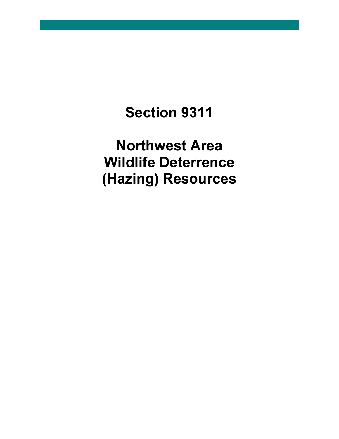# **Section 9311**

**Northwest Area Wildlife Deterrence (Hazing) Resources**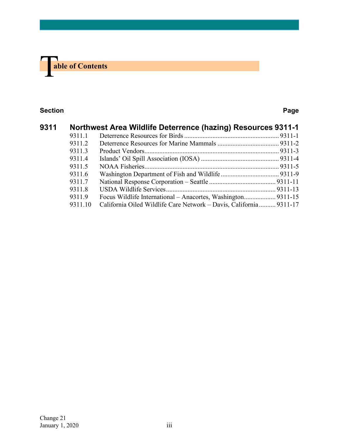

#### **Section Page**

| 9311 | Northwest Area Wildlife Deterrence (hazing) Resources 9311-1 |                                                                    |  |
|------|--------------------------------------------------------------|--------------------------------------------------------------------|--|
|      | 9311.1                                                       |                                                                    |  |
|      | 9311.2                                                       |                                                                    |  |
|      | 9311.3                                                       |                                                                    |  |
|      | 9311.4                                                       |                                                                    |  |
|      | 9311.5                                                       |                                                                    |  |
|      | 9311.6                                                       |                                                                    |  |
|      | 9311.7                                                       |                                                                    |  |
|      | 9311.8                                                       |                                                                    |  |
|      | 9311.9                                                       |                                                                    |  |
|      | 9311.10                                                      | California Oiled Wildlife Care Network - Davis, California 9311-17 |  |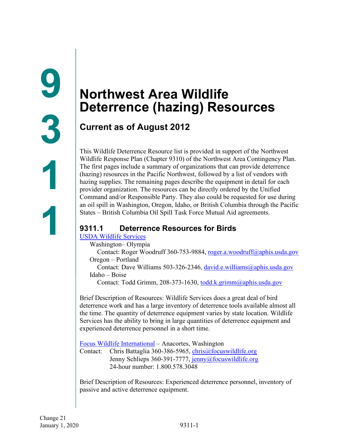### <span id="page-2-1"></span><span id="page-2-0"></span>**Current as of August 2012**

This Wildlife Deterrence Resource list is provided in support of the Northwest Wildlife Response Plan (Chapter 9310) of the Northwest Area Contingency Plan. The first pages include a summary of organizations that can provide deterrence (hazing) resources in the Pacific Northwest, followed by a list of vendors with hazing supplies. The remaining pages describe the equipment in detail for each provider organization. The resources can be directly ordered by the Unified Command and/or Responsible Party. They also could be requested for use during an oil spill in Washington, Oregon, Idaho, or British Columbia through the Pacific States – British Columbia Oil Spill Task Force Mutual Aid agreements.

### <span id="page-2-2"></span>**9311.1 Deterrence Resources for Birds**

#### [USDA Wildlife Services](https://www.aphis.usda.gov/aphis/ourfocus/wildlifedamage)

Washington– Olympia

Contact: Roger Woodruff 360-753-9884, [roger.a.woodruff@aphis.usda.gov](mailto:roger.a.woodruff@aphis.usda.gov) Oregon – Portland

Contact: Dave Williams 503-326-2346, [david.e.williams@aphis.usda.gov](mailto:david.e.williams@aphis.usda.gov) Idaho – Boise

Contact: Todd Grimm, 208-373-1630, [todd.k.grimm@aphis.usda.gov](mailto:todd.k.grimm@aphis.usda.gov)

Brief Description of Resources: Wildlife Services does a great deal of bird deterrence work and has a large inventory of deterrence tools available almost all the time. The quantity of deterrence equipment varies by state location. Wildlife Services has the ability to bring in large quantities of deterrence equipment and experienced deterrence personnel in a short time.

[Focus Wildlife International](http://focuswildlife.net/) – Anacortes, Washington

Contact: Chris Battaglia 360-386-5965, [chris@focuswildlife.org](mailto:chris@focuswildlife.org) Jenny Schlieps 360-391-7777, [jenny@focuswildlife.org](mailto:jenny@focuswildlife.org) 24-hour number: 1.800.578.3048

Brief Description of Resources: Experienced deterrence personnel, inventory of passive and active deterrence equipment.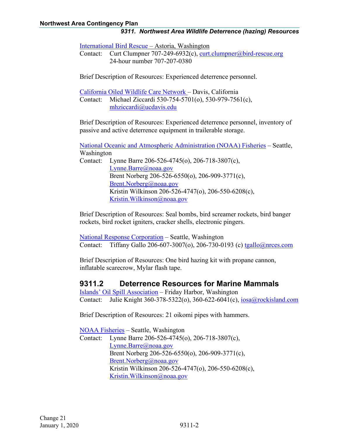[International Bird Rescue](http://www.bird-rescue.org/) – Astoria, Washington

Contact: Curt Clumpner 707-249-6932(c), [curt.clumpner@bird-rescue.org](mailto:curt.clumpner@bird-rescue.org) 24-hour number 707-207-0380

Brief Description of Resources: Experienced deterrence personnel.

[California Oiled Wildlife Care Network](http://www.owcn.org/) – Davis, California Contact: Michael Ziccardi 530-754-5701(o), 530-979-7561(c), [mhziccardi@ucdavis.edu](mailto:mhziccardi@ucdavis.edu)

Brief Description of Resources: Experienced deterrence personnel, inventory of passive and active deterrence equipment in trailerable storage.

[National Oceanic and Atmospheric Administration \(NOAA\)](https://www.fisheries.noaa.gov/) Fisheries – Seattle, Washington Contact: Lynne Barre 206-526-4745(o), 206-718-3807(c), [Lynne.Barre@noaa.gov](mailto:Lynne.Barre@noaa.gov)  Brent Norberg 206-526-6550(o), 206-909-3771(c), [Brent.Norberg@noaa.gov](mailto:Brent.Norberg@noaa.gov)

Kristin Wilkinson 206-526-4747(o), 206-550-6208(c),

[Kristin.Wilkinson@noaa.gov](mailto:Kristin.Wilkinson@noaa.gov)

Brief Description of Resources: Seal bombs, bird screamer rockets, bird banger rockets, bird rocket igniters, cracker shells, electronic pingers.

[National Response Corporation](http://nrcc.com/) – Seattle, Washington Contact: Tiffany Gallo 206-607-3007(o), 206-730-0193 (c) [tgallo@nrces.com](mailto:tgallo@nrces.com)

Brief Description of Resources: One bird hazing kit with propane cannon, inflatable scarecrow, Mylar flash tape.

#### <span id="page-3-0"></span>**9311.2 Deterrence Resources for Marine Mammals**

[Islands' Oil Spill Association](http://iosaonline.org/) – Friday Harbor, Washington Contact: Julie Knight 360-378-5322(o), 360-622-6041(c), [iosa@rockisland.com](mailto:iosa@rockisland.com)

Brief Description of Resources: 21 oikomi pipes with hammers.

[NOAA Fisheries](https://www.fisheries.noaa.gov/region/west-coast) – Seattle, Washington Contact: Lynne Barre 206-526-4745(o), 206-718-3807(c), [Lynne.Barre@noaa.gov](mailto:Lynne.Barre@noaa.gov)  Brent Norberg 206-526-6550(o), 206-909-3771(c), [Brent.Norberg@noaa.gov](mailto:Brent.Norberg@noaa.gov) Kristin Wilkinson 206-526-4747(o), 206-550-6208(c), [Kristin.Wilkinson@noaa.gov](mailto:Kristin.Wilkinson@noaa.gov)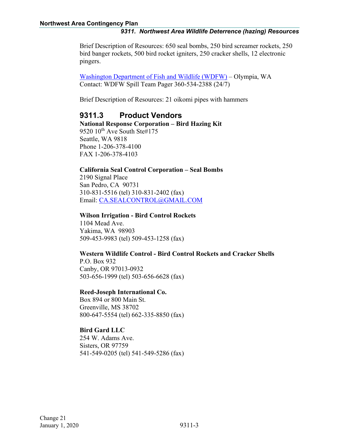Brief Description of Resources: 650 seal bombs, 250 bird screamer rockets, 250 bird banger rockets, 500 bird rocket igniters, 250 cracker shells, 12 electronic pingers.

[Washington Department of Fish and Wildlife](http://wdfw.wa.gov/) (WDFW) – Olympia, WA Contact: WDFW Spill Team Pager 360-534-2388 (24/7)

Brief Description of Resources: 21 oikomi pipes with hammers

#### <span id="page-4-0"></span>**9311.3 Product Vendors**

**National Response Corporation – Bird Hazing Kit** 9520 10<sup>th</sup> Ave South Ste#175 Seattle, WA 9818 Phone 1-206-378-4100 FAX 1-206-378-4103

#### **California Seal Control Corporation – Seal Bombs**

2190 Signal Place San Pedro, CA 90731 310-831-5516 (tel) 310-831-2402 (fax) Email: [CA.SEALCONTROL@GMAIL.COM](mailto:CA.SEALCONTROL@GMAIL.COM)

#### **Wilson Irrigation - Bird Control Rockets**

1104 Mead Ave. Yakima, WA 98903 509-453-9983 (tel) 509-453-1258 (fax)

#### **Western Wildlife Control - Bird Control Rockets and Cracker Shells**

P.O. Box 932 Canby, OR 97013-0932 503-656-1999 (tel) 503-656-6628 (fax)

#### **Reed-Joseph International Co.**

Box 894 or 800 Main St. Greenville, MS 38702 800-647-5554 (tel) 662-335-8850 (fax)

#### **Bird Gard LLC**

254 W. Adams Ave. Sisters, OR 97759 541-549-0205 (tel) 541-549-5286 (fax)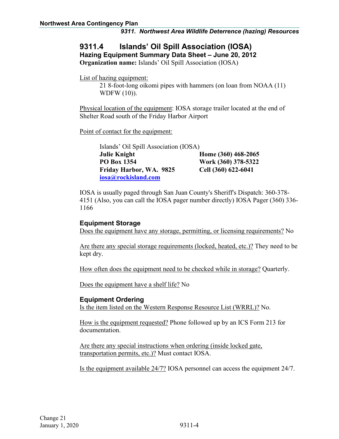## <span id="page-5-0"></span>**9311.4 Islands' Oil Spill Association (IOSA)**

**Hazing Equipment Summary Data Sheet – June 20, 2012**

**Organization name:** Islands' Oil Spill Association (IOSA)

List of hazing equipment:

21 8-foot-long oikomi pipes with hammers (on loan from NOAA (11) WDFW (10)).

Physical location of the equipment: IOSA storage trailer located at the end of Shelter Road south of the Friday Harbor Airport

Point of contact for the equipment:

| Islands' Oil Spill Association (IOSA) |                     |  |
|---------------------------------------|---------------------|--|
| <b>Julie Knight</b>                   | Home (360) 468-2065 |  |
| <b>PO Box 1354</b>                    | Work (360) 378-5322 |  |
| Friday Harbor, WA. 9825               | Cell (360) 622-6041 |  |
| iosa@rockisland.com                   |                     |  |

IOSA is usually paged through San Juan County's Sheriff's Dispatch: 360-378- 4151 (Also, you can call the IOSA pager number directly) IOSA Pager (360) 336- 1166

#### **Equipment Storage**

Does the equipment have any storage, permitting, or licensing requirements? No

Are there any special storage requirements (locked, heated, etc.)? They need to be kept dry.

How often does the equipment need to be checked while in storage? Quarterly.

Does the equipment have a shelf life? No

#### **Equipment Ordering**

Is the item listed on the Western Response Resource List (WRRL)? No.

How is the equipment requested? Phone followed up by an ICS Form 213 for documentation.

Are there any special instructions when ordering (inside locked gate, transportation permits, etc.)? Must contact IOSA.

Is the equipment available 24/7? IOSA personnel can access the equipment 24/7.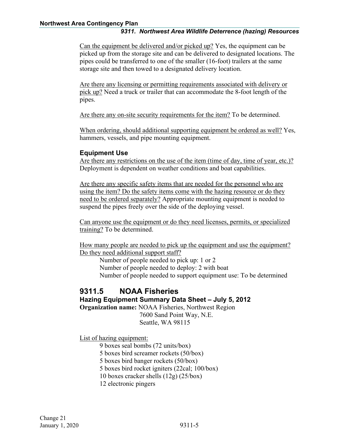Can the equipment be delivered and/or picked up? Yes, the equipment can be picked up from the storage site and can be delivered to designated locations. The pipes could be transferred to one of the smaller (16-foot) trailers at the same storage site and then towed to a designated delivery location.

Are there any licensing or permitting requirements associated with delivery or pick up? Need a truck or trailer that can accommodate the 8-foot length of the pipes.

Are there any on-site security requirements for the item? To be determined.

When ordering, should additional supporting equipment be ordered as well? Yes, hammers, vessels, and pipe mounting equipment.

#### **Equipment Use**

Are there any restrictions on the use of the item (time of day, time of year, etc.)? Deployment is dependent on weather conditions and boat capabilities.

Are there any specific safety items that are needed for the personnel who are using the item? Do the safety items come with the hazing resource or do they need to be ordered separately? Appropriate mounting equipment is needed to suspend the pipes freely over the side of the deploying vessel.

Can anyone use the equipment or do they need licenses, permits, or specialized training? To be determined.

How many people are needed to pick up the equipment and use the equipment? Do they need additional support staff?

Number of people needed to pick up: 1 or 2 Number of people needed to deploy: 2 with boat Number of people needed to support equipment use: To be determined

#### <span id="page-6-0"></span>**9311.5 NOAA Fisheries Hazing Equipment Summary Data Sheet – July 5, 2012 Organization name:** NOAA Fisheries, Northwest Region

7600 Sand Point Way, N.E. Seattle, WA 98115

List of hazing equipment:

9 boxes seal bombs (72 units/box)

5 boxes bird screamer rockets (50/box)

5 boxes bird banger rockets (50/box)

5 boxes bird rocket igniters (22cal; 100/box)

10 boxes cracker shells (12g) (25/box)

12 electronic pingers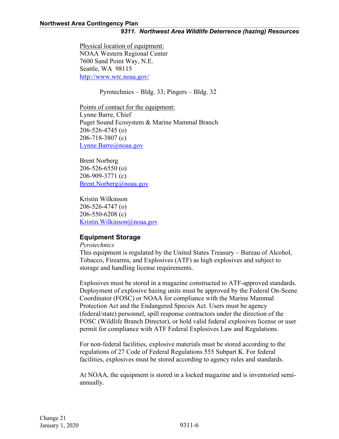Physical location of equipment: NOAA Western Regional Center 7600 Sand Point Way, N.E. Seattle, WA 98115 <http://www.wrc.noaa.gov/>

Pyrotechnics – Bldg. 33; Pingers – Bldg. 32

Points of contact for the equipment: Lynne Barre, Chief Puget Sound Ecosystem & Marine Mammal Branch 206-526-4745 (o) 206-718-3807 (c) Lynne.Barre@noaa.gov

Brent Norberg 206-526-6550 (o) 206-909-3771 (c) [Brent.Norberg@noaa.gov](mailto:Brent.Norberg@noaa.gov)

Kristin Wilkinson 206-526-4747 (o) 206-550-6208 (c) [Kristin.Wilkinson@noaa.gov](mailto:Kristin.Wilkinson@noaa.gov)

#### **Equipment Storage**

*Pyrotechnics*

This equipment is regulated by the United States Treasury – Bureau of Alcohol, Tobacco, Firearms, and Explosives (ATF) as high explosives and subject to storage and handling license requirements.

Explosives must be stored in a magazine constructed to ATF-approved standards. Deployment of explosive hazing units must be approved by the Federal On-Scene Coordinator (FOSC) or NOAA for compliance with the Marine Mammal Protection Act and the Endangered Species Act. Users must be agency (federal/state) personnel, spill response contractors under the direction of the FOSC (Wildlife Branch Director), or hold valid federal explosives license or user permit for compliance with ATF Federal Explosives Law and Regulations.

For non-federal facilities, explosive materials must be stored according to the regulations of 27 Code of Federal Regulations 555 Subpart K. For federal facilities, explosives must be stored according to agency rules and standards.

At NOAA, the equipment is stored in a locked magazine and is inventoried semiannually.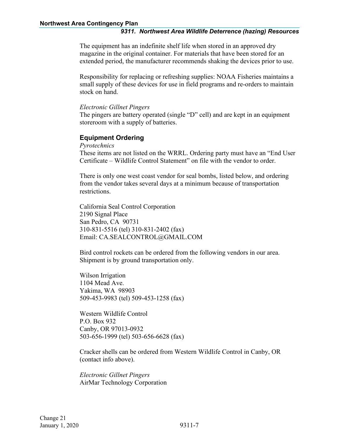The equipment has an indefinite shelf life when stored in an approved dry magazine in the original container. For materials that have been stored for an extended period, the manufacturer recommends shaking the devices prior to use.

Responsibility for replacing or refreshing supplies: NOAA Fisheries maintains a small supply of these devices for use in field programs and re-orders to maintain stock on hand.

#### *Electronic Gillnet Pingers*

The pingers are battery operated (single "D" cell) and are kept in an equipment storeroom with a supply of batteries.

#### **Equipment Ordering**

*Pyrotechnics*

These items are not listed on the WRRL. Ordering party must have an "End User Certificate – Wildlife Control Statement" on file with the vendor to order.

There is only one west coast vendor for seal bombs, listed below, and ordering from the vendor takes several days at a minimum because of transportation restrictions.

California Seal Control Corporation 2190 Signal Place San Pedro, CA 90731 310-831-5516 (tel) 310-831-2402 (fax) Email: CA.SEALCONTROL@GMAIL.COM

Bird control rockets can be ordered from the following vendors in our area. Shipment is by ground transportation only.

Wilson Irrigation 1104 Mead Ave. Yakima, WA 98903 509-453-9983 (tel) 509-453-1258 (fax)

Western Wildlife Control P.O. Box 932 Canby, OR 97013-0932 503-656-1999 (tel) 503-656-6628 (fax)

Cracker shells can be ordered from Western Wildlife Control in Canby, OR (contact info above).

*Electronic Gillnet Pingers* AirMar Technology Corporation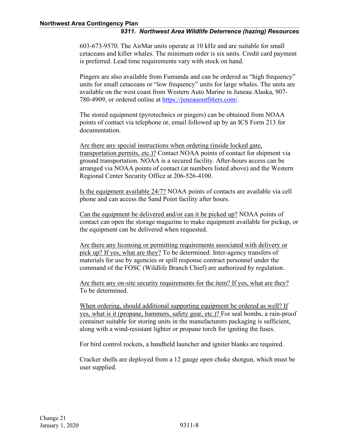603-673-9570. The AirMar units operate at 10 kHz and are suitable for small cetaceans and killer whales. The minimum order is six units. Credit card payment is preferred. Lead time requirements vary with stock on hand.

Pingers are also available from Fumunda and can be ordered as "high frequency" units for small cetaceans or "low frequency" units for large whales. The units are available on the west coast from Western Auto Marine in Juneau Alaska, 907- 780-4909, or ordered online at [https://juneauoutfitters.com/.](https://juneauoutfitters.com/)

The stored equipment (pyrotechnics or pingers) can be obtained from NOAA points of contact via telephone or, email followed up by an ICS Form 213 for documentation.

Are there any special instructions when ordering (inside locked gate, transportation permits, etc.)? Contact NOAA points of contact for shipment via ground transportation. NOAA is a secured facility. After-hours access can be arranged via NOAA points of contact (at numbers listed above) and the Western Regional Center Security Office at 206-526-4100.

Is the equipment available 24/7? NOAA points of contacts are available via cell phone and can access the Sand Point facility after hours.

Can the equipment be delivered and/or can it be picked up? NOAA points of contact can open the storage magazine to make equipment available for pickup, or the equipment can be delivered when requested.

Are there any licensing or permitting requirements associated with delivery or pick up? If yes, what are they? To be determined. Inter-agency transfers of materials for use by agencies or spill response contract personnel under the command of the FOSC (Wildlife Branch Chief) are authorized by regulation.

Are there any on-site security requirements for the item? If yes, what are they? To be determined.

When ordering, should additional supporting equipment be ordered as well? If yes, what is it (propane, hammers, safety gear, etc.)? For seal bombs, a rain-proof container suitable for storing units in the manufacturers packaging is sufficient, along with a wind-resistant lighter or propane torch for igniting the fuses.

For bird control rockets, a handheld launcher and igniter blanks are required.

Cracker shells are deployed from a 12 gauge open choke shotgun, which must be user supplied.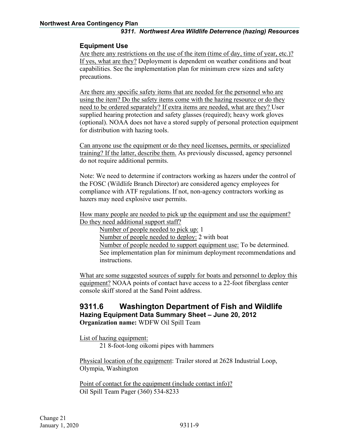#### **Equipment Use**

Are there any restrictions on the use of the item (time of day, time of year, etc.)? If yes, what are they? Deployment is dependent on weather conditions and boat capabilities. See the implementation plan for minimum crew sizes and safety precautions.

Are there any specific safety items that are needed for the personnel who are using the item? Do the safety items come with the hazing resource or do they need to be ordered separately? If extra items are needed, what are they? User supplied hearing protection and safety glasses (required); heavy work gloves (optional). NOAA does not have a stored supply of personal protection equipment for distribution with hazing tools.

Can anyone use the equipment or do they need licenses, permits, or specialized training? If the latter, describe them. As previously discussed, agency personnel do not require additional permits.

Note: We need to determine if contractors working as hazers under the control of the FOSC (Wildlife Branch Director) are considered agency employees for compliance with ATF regulations. If not, non-agency contractors working as hazers may need explosive user permits.

How many people are needed to pick up the equipment and use the equipment? Do they need additional support staff?

Number of people needed to pick up: 1 Number of people needed to deploy: 2 with boat Number of people needed to support equipment use: To be determined.

See implementation plan for minimum deployment recommendations and instructions.

What are some suggested sources of supply for boats and personnel to deploy this equipment? NOAA points of contact have access to a 22-foot fiberglass center console skiff stored at the Sand Point address.

#### <span id="page-10-0"></span>**9311.6 Washington Department of Fish and Wildlife Hazing Equipment Data Summary Sheet – June 20, 2012 Organization name:** WDFW Oil Spill Team

List of hazing equipment:

21 8-foot-long oikomi pipes with hammers

Physical location of the equipment: Trailer stored at 2628 Industrial Loop, Olympia, Washington

Point of contact for the equipment (include contact info)? Oil Spill Team Pager (360) 534-8233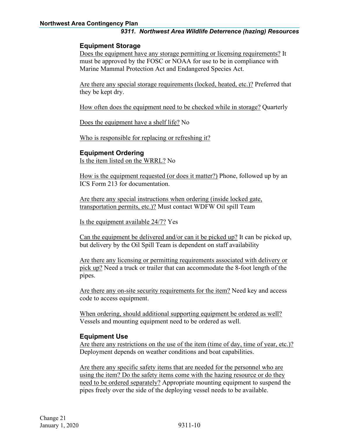#### **Equipment Storage**

Does the equipment have any storage permitting or licensing requirements? It must be approved by the FOSC or NOAA for use to be in compliance with Marine Mammal Protection Act and Endangered Species Act.

Are there any special storage requirements (locked, heated, etc.)? Preferred that they be kept dry.

How often does the equipment need to be checked while in storage? Quarterly

Does the equipment have a shelf life? No

Who is responsible for replacing or refreshing it?

#### **Equipment Ordering**

Is the item listed on the WRRL? No

How is the equipment requested (or does it matter?) Phone, followed up by an ICS Form 213 for documentation.

Are there any special instructions when ordering (inside locked gate, transportation permits, etc.)? Must contact WDFW Oil spill Team

Is the equipment available 24/7? Yes

Can the equipment be delivered and/or can it be picked up? It can be picked up, but delivery by the Oil Spill Team is dependent on staff availability

Are there any licensing or permitting requirements associated with delivery or pick up? Need a truck or trailer that can accommodate the 8-foot length of the pipes.

Are there any on-site security requirements for the item? Need key and access code to access equipment.

When ordering, should additional supporting equipment be ordered as well? Vessels and mounting equipment need to be ordered as well.

#### **Equipment Use**

Are there any restrictions on the use of the item (time of day, time of year, etc.)? Deployment depends on weather conditions and boat capabilities.

Are there any specific safety items that are needed for the personnel who are using the item? Do the safety items come with the hazing resource or do they need to be ordered separately? Appropriate mounting equipment to suspend the pipes freely over the side of the deploying vessel needs to be available.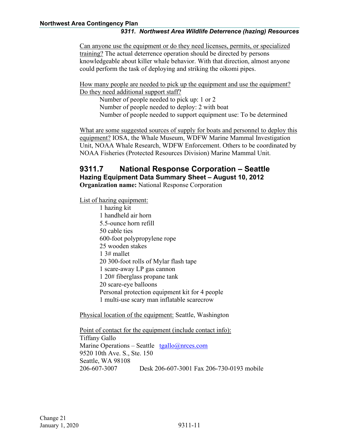Can anyone use the equipment or do they need licenses, permits, or specialized training? The actual deterrence operation should be directed by persons knowledgeable about killer whale behavior. With that direction, almost anyone could perform the task of deploying and striking the oikomi pipes.

How many people are needed to pick up the equipment and use the equipment? Do they need additional support staff?

Number of people needed to pick up: 1 or 2 Number of people needed to deploy: 2 with boat Number of people needed to support equipment use: To be determined

What are some suggested sources of supply for boats and personnel to deploy this equipment? IOSA, the Whale Museum, WDFW Marine Mammal Investigation Unit, NOAA Whale Research, WDFW Enforcement. Others to be coordinated by NOAA Fisheries (Protected Resources Division) Marine Mammal Unit.

### <span id="page-12-0"></span>**9311.7 National Response Corporation – Seattle Hazing Equipment Data Summary Sheet – August 10, 2012**

**Organization name:** National Response Corporation

List of hazing equipment:

1 hazing kit 1 handheld air horn 5.5-ounce horn refill 50 cable ties 600-foot polypropylene rope 25 wooden stakes 1 3# mallet 20 300-foot rolls of Mylar flash tape 1 scare-away LP gas cannon 1 20# fiberglass propane tank 20 scare-eye balloons Personal protection equipment kit for 4 people 1 multi-use scary man inflatable scarecrow

Physical location of the equipment: Seattle, Washington

Point of contact for the equipment (include contact info): Tiffany Gallo Marine Operations – Seattle [tgallo@nrces.com](mailto:tgallo@nrces.com) 9520 10th Ave. S., Ste. 150 Seattle, WA 98108 206-607-3007 Desk 206-607-3001 Fax 206-730-0193 mobile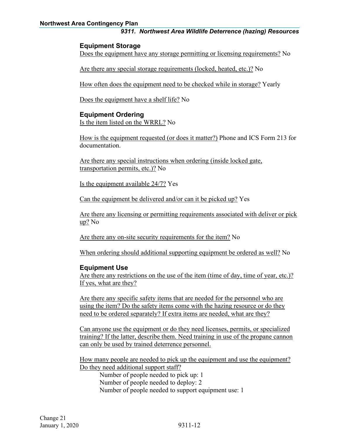#### **Northwest Area Contingency Plan**

#### *9311. Northwest Area Wildlife Deterrence (hazing) Resources*

#### **Equipment Storage**

Does the equipment have any storage permitting or licensing requirements? No

Are there any special storage requirements (locked, heated, etc.)? No

How often does the equipment need to be checked while in storage? Yearly

Does the equipment have a shelf life? No

#### **Equipment Ordering**

Is the item listed on the WRRL? No

How is the equipment requested (or does it matter?) Phone and ICS Form 213 for documentation.

Are there any special instructions when ordering (inside locked gate, transportation permits, etc.)? No

Is the equipment available 24/7? Yes

Can the equipment be delivered and/or can it be picked up? Yes

Are there any licensing or permitting requirements associated with deliver or pick up? No

Are there any on-site security requirements for the item? No

When ordering should additional supporting equipment be ordered as well? No

#### **Equipment Use**

Are there any restrictions on the use of the item (time of day, time of year, etc.)? If yes, what are they?

Are there any specific safety items that are needed for the personnel who are using the item? Do the safety items come with the hazing resource or do they need to be ordered separately? If extra items are needed, what are they?

Can anyone use the equipment or do they need licenses, permits, or specialized training? If the latter, describe them. Need training in use of the propane cannon can only be used by trained deterrence personnel.

How many people are needed to pick up the equipment and use the equipment? Do they need additional support staff?

Number of people needed to pick up: 1 Number of people needed to deploy: 2 Number of people needed to support equipment use: 1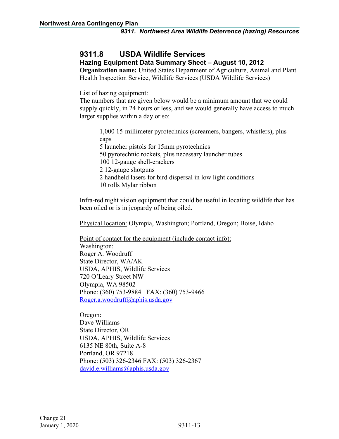### <span id="page-14-0"></span>**9311.8 USDA Wildlife Services**

#### **Hazing Equipment Data Summary Sheet – August 10, 2012**

**Organization name:** United States Department of Agriculture, Animal and Plant Health Inspection Service, Wildlife Services (USDA Wildlife Services)

List of hazing equipment:

The numbers that are given below would be a minimum amount that we could supply quickly, in 24 hours or less, and we would generally have access to much larger supplies within a day or so:

1,000 15-millimeter pyrotechnics (screamers, bangers, whistlers), plus caps 5 launcher pistols for 15mm pyrotechnics 50 pyrotechnic rockets, plus necessary launcher tubes 100 12-gauge shell-crackers 2 12-gauge shotguns 2 handheld lasers for bird dispersal in low light conditions 10 rolls Mylar ribbon

Infra-red night vision equipment that could be useful in locating wildlife that has been oiled or is in jeopardy of being oiled.

Physical location: Olympia, Washington; Portland, Oregon; Boise, Idaho

Point of contact for the equipment (include contact info): Washington: Roger A. Woodruff State Director, WA/AK USDA, APHIS, Wildlife Services 720 O'Leary Street NW Olympia, WA 98502 Phone: (360) 753-9884 FAX: (360) 753-9466 [Roger.a.woodruff@aphis.usda.gov](mailto:Roger.a.woodruff@aphis.usda.gov)

Oregon: Dave Williams State Director, OR USDA, APHIS, Wildlife Services 6135 NE 80th, Suite A-8 Portland, OR 97218 Phone: (503) 326-2346 FAX: (503) 326-2367 [david.e.williams@aphis.usda.gov](mailto:david.e.williams@aphis.usda.gov)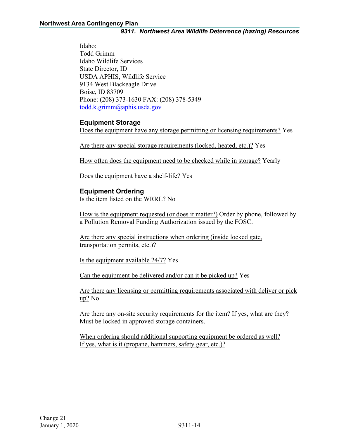Idaho: Todd Grimm Idaho Wildlife Services State Director, ID USDA APHIS, Wildlife Service 9134 West Blackeagle Drive Boise, ID 83709 Phone: (208) 373-1630 FAX: (208) 378-5349 [todd.k.grimm@aphis.usda.gov](mailto:todd.k.grimm@aphis.usda.gov)

#### **Equipment Storage**

Does the equipment have any storage permitting or licensing requirements? Yes

Are there any special storage requirements (locked, heated, etc.)? Yes

How often does the equipment need to be checked while in storage? Yearly

Does the equipment have a shelf-life? Yes

#### **Equipment Ordering**

Is the item listed on the WRRL? No

How is the equipment requested (or does it matter?) Order by phone, followed by a Pollution Removal Funding Authorization issued by the FOSC.

Are there any special instructions when ordering (inside locked gate, transportation permits, etc.)?

Is the equipment available 24/7? Yes

Can the equipment be delivered and/or can it be picked up? Yes

Are there any licensing or permitting requirements associated with deliver or pick up? No

Are there any on-site security requirements for the item? If yes, what are they? Must be locked in approved storage containers.

When ordering should additional supporting equipment be ordered as well? If yes, what is it (propane, hammers, safety gear, etc.)?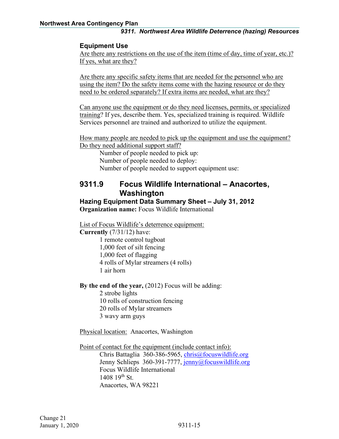#### **Equipment Use**

Are there any restrictions on the use of the item (time of day, time of year, etc.)? If yes, what are they?

Are there any specific safety items that are needed for the personnel who are using the item? Do the safety items come with the hazing resource or do they need to be ordered separately? If extra items are needed, what are they?

Can anyone use the equipment or do they need licenses, permits, or specialized training? If yes, describe them. Yes, specialized training is required. Wildlife Services personnel are trained and authorized to utilize the equipment.

How many people are needed to pick up the equipment and use the equipment? Do they need additional support staff?

Number of people needed to pick up: Number of people needed to deploy: Number of people needed to support equipment use:

#### <span id="page-16-0"></span>**9311.9 Focus Wildlife International – Anacortes, Washington**

**Hazing Equipment Data Summary Sheet – July 31, 2012 Organization name:** Focus Wildlife International

List of Focus Wildlife's deterrence equipment:

**Currently** (7/31/12) have: 1 remote control tugboat 1,000 feet of silt fencing 1,000 feet of flagging 4 rolls of Mylar streamers (4 rolls) 1 air horn

**By the end of the year,** (2012) Focus will be adding:

2 strobe lights 10 rolls of construction fencing 20 rolls of Mylar streamers 3 wavy arm guys

Physical location: Anacortes, Washington

Point of contact for the equipment (include contact info):

Chris Battaglia 360-386-5965, [chris@focuswildlife.org](mailto:chris@focuswildlife.org) Jenny Schlieps 360-391-7777, [jenny@focuswildlife.org](mailto:jenny@focuswildlife.org) Focus Wildlife International  $1408$  19<sup>th</sup> St. Anacortes, WA 98221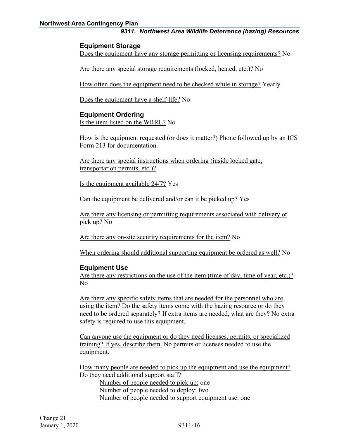#### **Northwest Area Contingency Plan**

#### *9311. Northwest Area Wildlife Deterrence (hazing) Resources*

#### **Equipment Storage**

Does the equipment have any storage permitting or licensing requirements? No

Are there any special storage requirements (locked, heated, etc.)? No

How often does the equipment need to be checked while in storage? Yearly

Does the equipment have a shelf-life? No

#### **Equipment Ordering**

Is the item listed on the WRRL? No

How is the equipment requested (or does it matter?) Phone followed up by an ICS Form 213 for documentation.

Are there any special instructions when ordering (inside locked gate, transportation permits, etc.)?

Is the equipment available 24/7? Yes

Can the equipment be delivered and/or can it be picked up? Yes

Are there any licensing or permitting requirements associated with delivery or pick up? No

Are there any on-site security requirements for the item? No

When ordering should additional supporting equipment be ordered as well? No

#### **Equipment Use**

Are there any restrictions on the use of the item (time of day, time of year, etc.)? No

Are there any specific safety items that are needed for the personnel who are using the item? Do the safety items come with the hazing resource or do they need to be ordered separately? If extra items are needed, what are they? No extra safety is required to use this equipment.

Can anyone use the equipment or do they need licenses, permits, or specialized training? If yes, describe them. No permits or licenses needed to use the equipment.

How many people are needed to pick up the equipment and use the equipment? Do they need additional support staff?

Number of people needed to pick up: one Number of people needed to deploy: two Number of people needed to support equipment use: one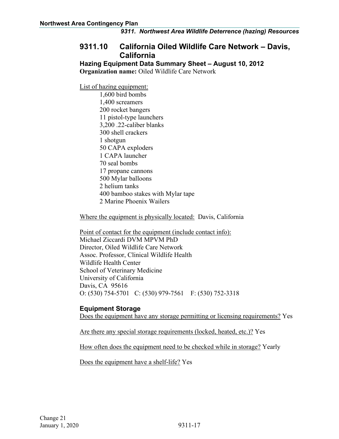### <span id="page-18-0"></span>**9311.10 California Oiled Wildlife Care Network – Davis, California**

**Hazing Equipment Data Summary Sheet – August 10, 2012 Organization name:** Oiled Wildlife Care Network

List of hazing equipment:

1,600 bird bombs 1,400 screamers 200 rocket bangers 11 pistol-type launchers 3,200 .22-caliber blanks 300 shell crackers 1 shotgun 50 CAPA exploders 1 CAPA launcher 70 seal bombs 17 propane cannons 500 Mylar balloons 2 helium tanks 400 bamboo stakes with Mylar tape 2 Marine Phoenix Wailers

Where the equipment is physically located: Davis, California

Point of contact for the equipment (include contact info): Michael Ziccardi DVM MPVM PhD Director, Oiled Wildlife Care Network Assoc. Professor, Clinical Wildlife Health Wildlife Health Center School of Veterinary Medicine University of California Davis, CA 95616 O: (530) 754-5701 C: (530) 979-7561 F: (530) 752-3318

#### **Equipment Storage**

Does the equipment have any storage permitting or licensing requirements? Yes

Are there any special storage requirements (locked, heated, etc.)? Yes

How often does the equipment need to be checked while in storage? Yearly

Does the equipment have a shelf-life? Yes